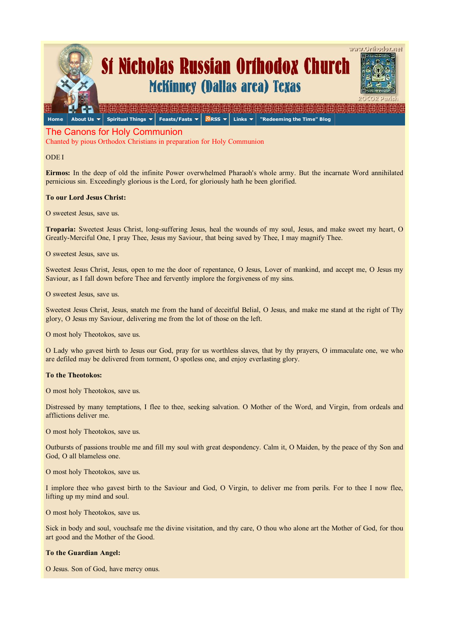

# **The Canons for Holy Communion**

Chanted by pious Orthodox Christians in preparation for Holy Communion

# ODE I

**Eirmos:** In the deep of old the infinite Power overwhelmed Pharaoh's whole army. But the incarnate Word annihilated pernicious sin. Exceedingly glorious is the Lord, for gloriously hath he been glorified.

# **To our Lord Jesus Christ:**

O sweetest Jesus, save us.

**Troparia:** Sweetest Jesus Christ, long-suffering Jesus, heal the wounds of my soul, Jesus, and make sweet my heart, O Greatly-Merciful One, I pray Thee, Jesus my Saviour, that being saved by Thee, I may magnify Thee.

# O sweetest Jesus, save us.

Sweetest Jesus Christ, Jesus, open to me the door of repentance, O Jesus, Lover of mankind, and accept me, O Jesus my Saviour, as I fall down before Thee and fervently implore the forgiveness of my sins.

O sweetest Jesus, save us.

Sweetest Jesus Christ, Jesus, snatch me from the hand of deceitful Belial, O Jesus, and make me stand at the right of Thy glory, O Jesus my Saviour, delivering me from the lot of those on the left.

O most holy Theotokos, save us.

O Lady who gavest birth to Jesus our God, pray for us worthless slaves, that by thy prayers, O immaculate one, we who are defiled may be delivered from torment, O spotless one, and enjoy everlasting glory.

# **To the Theotokos:**

O most holy Theotokos, save us.

Distressed by many temptations, I flee to thee, seeking salvation. O Mother of the Word, and Virgin, from ordeals and afflictions deliver me.

O most holy Theotokos, save us.

Outbursts of passions trouble me and fill my soul with great despondency. Calm it, O Maiden, by the peace of thy Son and God, O all blameless one.

O most holy Theotokos, save us.

I implore thee who gavest birth to the Saviour and God, O Virgin, to deliver me from perils. For to thee I now flee, lifting up my mind and soul.

O most holy Theotokos, save us.

Sick in body and soul, vouchsafe me the divine visitation, and thy care, O thou who alone art the Mother of God, for thou art good and the Mother of the Good.

# **To the Guardian Angel:**

O Jesus. Son of God, have mercy onus.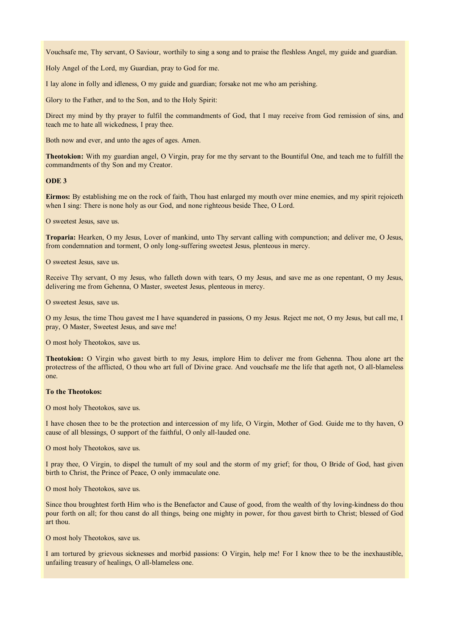Vouchsafe me, Thy servant, O Saviour, worthily to sing a song and to praise the fleshless Angel, my guide and guardian.

Holy Angel of the Lord, my Guardian, pray to God for me.

I lay alone in folly and idleness, O my guide and guardian; forsake not me who am perishing.

Glory to the Father, and to the Son, and to the Holy Spirit:

Direct my mind by thy prayer to fulfil the commandments of God, that I may receive from God remission of sins, and teach me to hate all wickedness, I pray thee.

Both now and ever, and unto the ages of ages. Amen.

**Theotokion:** With my guardian angel, O Virgin, pray for me thy servant to the Bountiful One, and teach me to fulfill the commandments of thy Son and my Creator.

# **ODE 3**

**Eirmos:** By establishing me on the rock of faith, Thou hast enlarged my mouth over mine enemies, and my spirit rejoiceth when I sing: There is none holy as our God, and none righteous beside Thee, O Lord.

O sweetest Jesus, save us.

**Troparia:** Hearken, O my Jesus, Lover of mankind, unto Thy servant calling with compunction; and deliver me, O Jesus, from condemnation and torment, O only long-suffering sweetest Jesus, plenteous in mercy.

O sweetest Jesus, save us.

Receive Thy servant, O my Jesus, who falleth down with tears, O my Jesus, and save me as one repentant, O my Jesus, delivering me from Gehenna, O Master, sweetest Jesus, plenteous in mercy.

O sweetest Jesus, save us.

O my Jesus, the time Thou gavest me I have squandered in passions, O my Jesus. Reject me not, O my Jesus, but call me, I pray, O Master, Sweetest Jesus, and save me!

O most holy Theotokos, save us.

**Theotokion:** O Virgin who gavest birth to my Jesus, implore Him to deliver me from Gehenna. Thou alone art the protectress of the afflicted, O thou who art full of Divine grace. And vouchsafe me the life that ageth not, O all-blameless one.

# **To the Theotokos:**

O most holy Theotokos, save us.

I have chosen thee to be the protection and intercession of my life, O Virgin, Mother of God. Guide me to thy haven, O cause of all blessings, O support of the faithful, O only all-lauded one.

O most holy Theotokos, save us.

I pray thee, O Virgin, to dispel the tumult of my soul and the storm of my grief; for thou, O Bride of God, hast given birth to Christ, the Prince of Peace, O only immaculate one.

O most holy Theotokos, save us.

Since thou broughtest forth Him who is the Benefactor and Cause of good, from the wealth of thy loving-kindness do thou pour forth on all; for thou canst do all things, being one mighty in power, for thou gavest birth to Christ; blessed of God art thou.

O most holy Theotokos, save us.

I am tortured by grievous sicknesses and morbid passions: O Virgin, help me! For I know thee to be the inexhaustible, unfailing treasury of healings, O all-blameless one.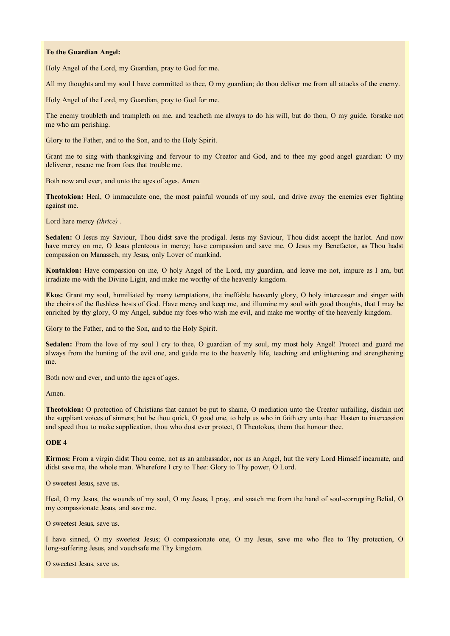# **To the Guardian Angel:**

Holy Angel of the Lord, my Guardian, pray to God for me.

All my thoughts and my soul I have committed to thee, O my guardian; do thou deliver me from all attacks of the enemy.

Holy Angel of the Lord, my Guardian, pray to God for me.

The enemy troubleth and trampleth on me, and teacheth me always to do his will, but do thou, O my guide, forsake not me who am perishing.

Glory to the Father, and to the Son, and to the Holy Spirit.

Grant me to sing with thanksgiving and fervour to my Creator and God, and to thee my good angel guardian: O my deliverer, rescue me from foes that trouble me.

Both now and ever, and unto the ages of ages. Amen.

**Theotokion:** Heal, O immaculate one, the most painful wounds of my soul, and drive away the enemies ever fighting against me.

Lord hare mercy *(thrice)* .

**Sedalen:** O Jesus my Saviour, Thou didst save the prodigal. Jesus my Saviour, Thou didst accept the harlot. And now have mercy on me. O Jesus plenteous in mercy; have compassion and save me. O Jesus my Benefactor, as Thou hadst compassion on Manasseh, my Jesus, only Lover of mankind.

**Kontakion:** Have compassion on me, O holy Angel of the Lord, my guardian, and leave me not, impure as I am, but irradiate me with the Divine Light, and make me worthy of the heavenly kingdom.

**Ekos:** Grant my soul, humiliated by many temptations, the ineffable heavenly glory, O holy intercessor and singer with the choirs of the fleshless hosts of God. Have mercy and keep me, and illumine my soul with good thoughts, that I may be enriched by thy glory, O my Angel, subdue my foes who wish me evil, and make me worthy of the heavenly kingdom.

Glory to the Father, and to the Son, and to the Holy Spirit.

**Sedalen:** From the love of my soul I cry to thee, O guardian of my soul, my most holy Angel! Protect and guard me always from the hunting of the evil one, and guide me to the heavenly life, teaching and enlightening and strengthening me.

Both now and ever, and unto the ages of ages.

Amen.

**Theotokion:** O protection of Christians that cannot be put to shame, O mediation unto the Creator unfailing, disdain not the suppliant voices of sinners; but be thou quick, O good one, to help us who in faith cry unto thee: Hasten to intercession and speed thou to make supplication, thou who dost ever protect, O Theotokos, them that honour thee.

# **ODE 4**

**Eirmos:** From a virgin didst Thou come, not as an ambassador, nor as an Angel, hut the very Lord Himself incarnate, and didst save me, the whole man. Wherefore I cry to Thee: Glory to Thy power, O Lord.

O sweetest Jesus, save us.

Heal, O my Jesus, the wounds of my soul, O my Jesus, I pray, and snatch me from the hand of soul-corrupting Belial, O my compassionate Jesus, and save me.

O sweetest Jesus, save us.

I have sinned, O my sweetest Jesus; O compassionate one, O my Jesus, save me who flee to Thy protection, O long-suffering Jesus, and vouchsafe me Thy kingdom.

O sweetest Jesus, save us.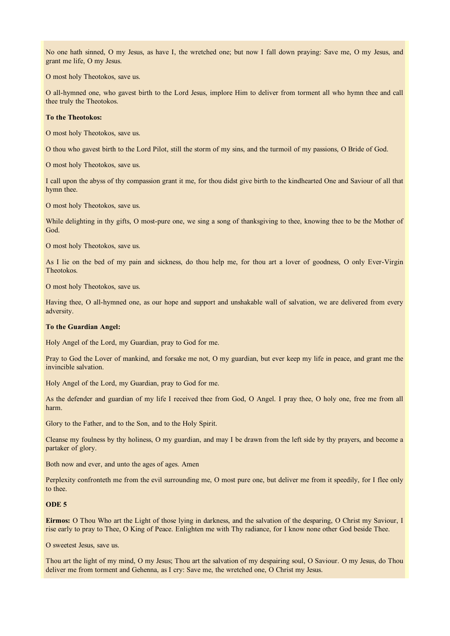No one hath sinned, O my Jesus, as have I, the wretched one; but now I fall down praying: Save me, O my Jesus, and grant me life, O my Jesus.

O most holy Theotokos, save us.

O all-hymned one, who gavest birth to the Lord Jesus, implore Him to deliver from torment all who hymn thee and call thee truly the Theotokos.

# **To the Theotokos:**

O most holy Theotokos, save us.

O thou who gavest birth to the Lord Pilot, still the storm of my sins, and the turmoil of my passions, O Bride of God.

O most holy Theotokos, save us.

I call upon the abyss of thy compassion grant it me, for thou didst give birth to the kindhearted One and Saviour of all that hymn thee.

O most holy Theotokos, save us.

While delighting in thy gifts, O most-pure one, we sing a song of thanksgiving to thee, knowing thee to be the Mother of God.

O most holy Theotokos, save us.

As I lie on the bed of my pain and sickness, do thou help me, for thou art a lover of goodness, O only Ever-Virgin Theotokos.

O most holy Theotokos, save us.

Having thee, O all-hymned one, as our hope and support and unshakable wall of salvation, we are delivered from every adversity.

# **To the Guardian Angel:**

Holy Angel of the Lord, my Guardian, pray to God for me.

Pray to God the Lover of mankind, and forsake me not, O my guardian, but ever keep my life in peace, and grant me the invincible salvation.

Holy Angel of the Lord, my Guardian, pray to God for me.

As the defender and guardian of my life I received thee from God, O Angel. I pray thee, O holy one, free me from all harm.

Glory to the Father, and to the Son, and to the Holy Spirit.

Cleanse my foulness by thy holiness, O my guardian, and may I be drawn from the left side by thy prayers, and become a partaker of glory.

Both now and ever, and unto the ages of ages. Amen

Perplexity confronteth me from the evil surrounding me, O most pure one, but deliver me from it speedily, for I flee only to thee.

#### **ODE 5**

**Eirmos:** O Thou Who art the Light of those lying in darkness, and the salvation of the desparing, O Christ my Saviour, I rise early to pray to Thee, O King of Peace. Enlighten me with Thy radiance, for I know none other God beside Thee.

O sweetest Jesus, save us.

Thou art the light of my mind, O my Jesus; Thou art the salvation of my despairing soul, O Saviour. O my Jesus, do Thou deliver me from torment and Gehenna, as I cry: Save me, the wretched one, O Christ my Jesus.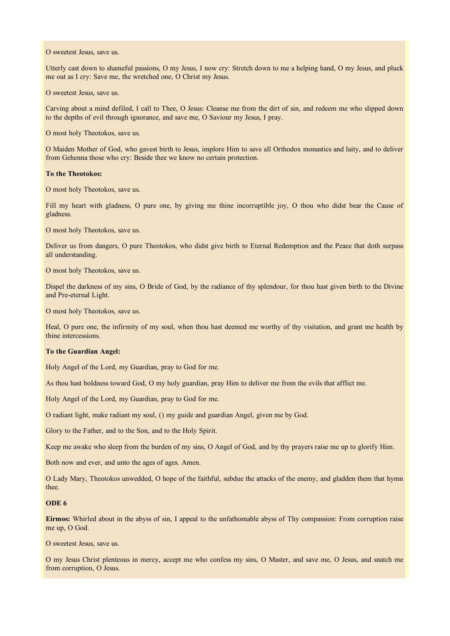O sweetest Jesus, save us.

Utterly cast down to shameful passions, O my Jesus, I now cry: Stretch down to me a helping hand, O my Jesus, and pluck me out as I cry: Save me, the wretched one, O Christ my Jesus.

O sweetest Jesus, save us.

Carving about a mind defiled, I call to Thee, O Jesus: Cleanse me from the dirt of sin, and redeem me who slipped down to the depths of evil through ignorance, and save me, O Saviour my Jesus, I pray.

O most holy Theotokos, save us.

O Maiden Mother of God, who gavest birth to Jesus, implore Him to save all Orthodox monastics and laity, and to deliver from Gehenna those who cry: Beside thee we know no certain protection.

### **To the Theotokos:**

O most holy Theotokos, save us.

Fill my heart with gladness, O pure one, by giving me thine incorruptible joy, O thou who didst bear the Cause of gladness.

O most holy Theotokos, save us.

Deliver us from dangers, O pure Theotokos, who didst give birth to Eternal Redemption and the Peace that doth surpass all understanding.

O most holy Theotokos, save us.

Dispel the darkness of my sins, O Bride of God, by the radiance of thy splendour, for thou hast given birth to the Divine and Pre-eternal Light.

O most holy Theotokos, save us.

Heal, O pure one, the infirmity of my soul, when thou hast deemed me worthy of thy visitation, and grant me health by thine intercessions.

### **To the Guardian Angel:**

Holy Angel of the Lord, my Guardian, pray to God for me.

As thou hast boldness toward God, O my holy guardian, pray Him to deliver me from the evils that afflict me.

Holy Angel of the Lord, my Guardian, pray to God for me.

O radiant light, make radiant my soul, () my guide and guardian Angel, given me by God.

Glory to the Father, and to the Son, and to the Holy Spirit.

Keep me awake who sleep from the burden of my sins, O Angel of God, and by thy prayers raise me up to glorify Him.

Both now and ever, and unto the ages of ages. Amen.

O Lady Mary, Theotokos unwedded, O hope of the faithful, subdue the attacks of the enemy, and gladden them that hymn thee.

# **ODE 6**

**Eirmos:** Whirled about in the abyss of sin, I appeal to the unfathomable abyss of Thy compassion: From corruption raise me up, O God.

O sweetest Jesus, save us.

O my Jesus Christ plenteous in mercy, accept me who confess my sins, O Master, and save me, O Jesus, and snatch me from corruption, O Jesus.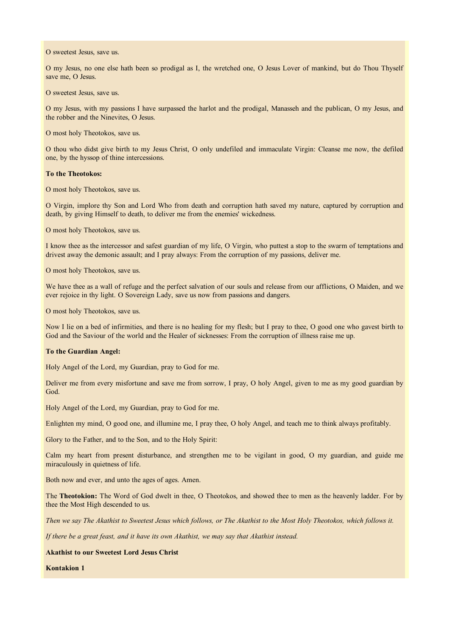O sweetest Jesus, save us.

O my Jesus, no one else hath been so prodigal as I, the wretched one, O Jesus Lover of mankind, but do Thou Thyself save me, O Jesus.

O sweetest Jesus, save us.

O my Jesus, with my passions I have surpassed the harlot and the prodigal, Manasseh and the publican, O my Jesus, and the robber and the Ninevites, O Jesus.

O most holy Theotokos, save us.

O thou who didst give birth to my Jesus Christ, O only undefiled and immaculate Virgin: Cleanse me now, the defiled one, by the hyssop of thine intercessions.

### **To the Theotokos:**

O most holy Theotokos, save us.

O Virgin, implore thy Son and Lord Who from death and corruption hath saved my nature, captured by corruption and death, by giving Himself to death, to deliver me from the enemies' wickedness.

O most holy Theotokos, save us.

I know thee as the intercessor and safest guardian of my life, O Virgin, who puttest a stop to the swarm of temptations and drivest away the demonic assault; and I pray always: From the corruption of my passions, deliver me.

O most holy Theotokos, save us.

We have thee as a wall of refuge and the perfect salvation of our souls and release from our afflictions, O Maiden, and we ever rejoice in thy light. O Sovereign Lady, save us now from passions and dangers.

O most holy Theotokos, save us.

Now I lie on a bed of infirmities, and there is no healing for my flesh; but I pray to thee, O good one who gavest birth to God and the Saviour of the world and the Healer of sicknesses: From the corruption of illness raise me up.

# **To the Guardian Angel:**

Holy Angel of the Lord, my Guardian, pray to God for me.

Deliver me from every misfortune and save me from sorrow, I pray, O holy Angel, given to me as my good guardian by God.

Holy Angel of the Lord, my Guardian, pray to God for me.

Enlighten my mind, O good one, and illumine me, I pray thee, O holy Angel, and teach me to think always profitably.

Glory to the Father, and to the Son, and to the Holy Spirit:

Calm my heart from present disturbance, and strengthen me to be vigilant in good, O my guardian, and guide me miraculously in quietness of life.

Both now and ever, and unto the ages of ages. Amen.

The **Theotokion:** The Word of God dwelt in thee, O Theotokos, and showed thee to men as the heavenly ladder. For by thee the Most High descended to us.

*Then we say The Akathist to Sweetest Jesus which follows, or The Akathist to the Most Holy Theotokos, which follows it.*

*If there be a great feast, and it have its own Akathist, we may say that Akathist instead.*

**Akathist to our Sweetest Lord Jesus Christ**

**Kontakion 1**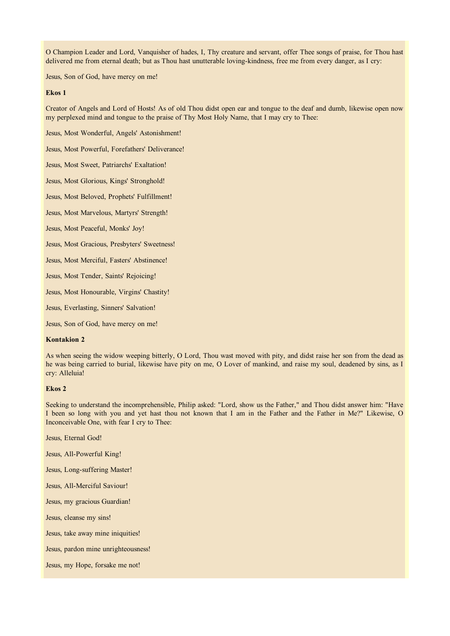O Champion Leader and Lord, Vanquisher of hades, I, Thy creature and servant, offer Thee songs of praise, for Thou hast delivered me from eternal death; but as Thou hast unutterable loving-kindness, free me from every danger, as I cry:

Jesus, Son of God, have mercy on me!

### **Ekos 1**

Creator of Angels and Lord of Hosts! As of old Thou didst open ear and tongue to the deaf and dumb, likewise open now my perplexed mind and tongue to the praise of Thy Most Holy Name, that I may cry to Thee:

Jesus, Most Wonderful, Angels' Astonishment!

Jesus, Most Powerful, Forefathers' Deliverance!

Jesus, Most Sweet, Patriarchs' Exaltation!

Jesus, Most Glorious, Kings' Stronghold!

Jesus, Most Beloved, Prophets' Fulfillment!

Jesus, Most Marvelous, Martyrs' Strength!

Jesus, Most Peaceful, Monks' Joy!

Jesus, Most Gracious, Presbyters' Sweetness!

Jesus, Most Merciful, Fasters' Abstinence!

Jesus, Most Tender, Saints' Rejoicing!

Jesus, Most Honourable, Virgins' Chastity!

Jesus, Everlasting, Sinners' Salvation!

Jesus, Son of God, have mercy on me!

#### **Kontakion 2**

As when seeing the widow weeping bitterly, O Lord, Thou wast moved with pity, and didst raise her son from the dead as he was being carried to burial, likewise have pity on me, O Lover of mankind, and raise my soul, deadened by sins, as I cry: Alleluia!

# **Ekos 2**

Seeking to understand the incomprehensible, Philip asked: "Lord, show us the Father," and Thou didst answer him: "Have I been so long with you and yet hast thou not known that I am in the Father and the Father in Me?" Likewise, O Inconceivable One, with fear I cry to Thee:

Jesus, Eternal God! Jesus, All-Powerful King! Jesus, Long-suffering Master! Jesus, All-Merciful Saviour! Jesus, my gracious Guardian! Jesus, cleanse my sins! Jesus, take away mine iniquities! Jesus, pardon mine unrighteousness! Jesus, my Hope, forsake me not!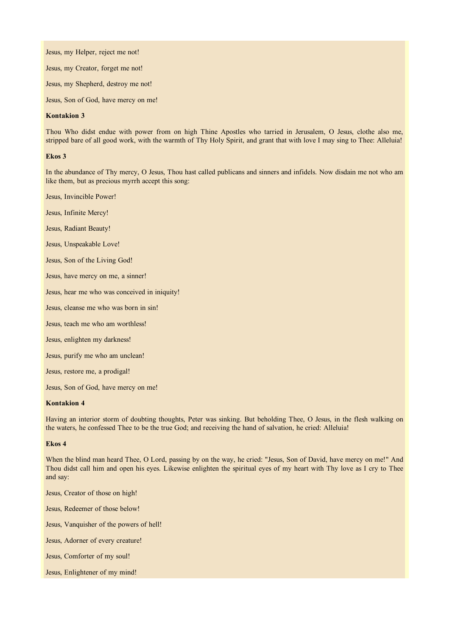Jesus, my Helper, reject me not!

Jesus, my Creator, forget me not!

Jesus, my Shepherd, destroy me not!

Jesus, Son of God, have mercy on me!

### **Kontakion 3**

Thou Who didst endue with power from on high Thine Apostles who tarried in Jerusalem, O Jesus, clothe also me, stripped bare of all good work, with the warmth of Thy Holy Spirit, and grant that with love I may sing to Thee: Alleluia!

# **Ekos 3**

In the abundance of Thy mercy, O Jesus, Thou hast called publicans and sinners and infidels. Now disdain me not who am like them, but as precious myrrh accept this song:

Jesus, Invincible Power!

Jesus, Infinite Mercy!

Jesus, Radiant Beauty!

Jesus, Unspeakable Love!

Jesus, Son of the Living God!

Jesus, have mercy on me, a sinner!

Jesus, hear me who was conceived in iniquity!

Jesus, cleanse me who was born in sin!

Jesus, teach me who am worthless!

Jesus, enlighten my darkness!

Jesus, purify me who am unclean!

Jesus, restore me, a prodigal!

Jesus, Son of God, have mercy on me!

# **Kontakion 4**

Having an interior storm of doubting thoughts, Peter was sinking. But beholding Thee, O Jesus, in the flesh walking on the waters, he confessed Thee to be the true God; and receiving the hand of salvation, he cried: Alleluia!

# **Ekos 4**

When the blind man heard Thee, O Lord, passing by on the way, he cried: "Jesus, Son of David, have mercy on me!" And Thou didst call him and open his eyes. Likewise enlighten the spiritual eyes of my heart with Thy love as I cry to Thee and say:

Jesus, Creator of those on high!

Jesus, Redeemer of those below!

Jesus, Vanquisher of the powers of hell!

Jesus, Adorner of every creature!

Jesus, Comforter of my soul!

Jesus, Enlightener of my mind!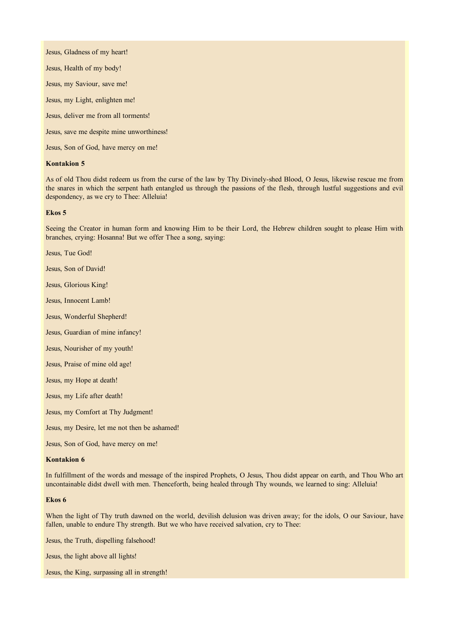Jesus, Gladness of my heart!

Jesus, Health of my body!

Jesus, my Saviour, save me!

Jesus, my Light, enlighten me!

Jesus, deliver me from all torments!

Jesus, save me despite mine unworthiness!

Jesus, Son of God, have mercy on me!

# **Kontakion 5**

As of old Thou didst redeem us from the curse of the law by Thy Divinely-shed Blood, O Jesus, likewise rescue me from the snares in which the serpent hath entangled us through the passions of the flesh, through lustful suggestions and evil despondency, as we cry to Thee: Alleluia!

# **Ekos 5**

Seeing the Creator in human form and knowing Him to be their Lord, the Hebrew children sought to please Him with branches, crying: Hosanna! But we offer Thee a song, saying:

Jesus, Tue God!

Jesus, Son of David!

Jesus, Glorious King!

Jesus, Innocent Lamb!

Jesus, Wonderful Shepherd!

Jesus, Guardian of mine infancy!

Jesus, Nourisher of my youth!

Jesus, Praise of mine old age!

Jesus, my Hope at death!

Jesus, my Life after death!

Jesus, my Comfort at Thy Judgment!

Jesus, my Desire, let me not then be ashamed!

Jesus, Son of God, have mercy on me!

#### **Kontakion 6**

In fulfillment of the words and message of the inspired Prophets, O Jesus, Thou didst appear on earth, and Thou Who art uncontainable didst dwell with men. Thenceforth, being healed through Thy wounds, we learned to sing: Alleluia!

### **Ekos 6**

When the light of Thy truth dawned on the world, devilish delusion was driven away; for the idols, O our Saviour, have fallen, unable to endure Thy strength. But we who have received salvation, cry to Thee:

Jesus, the Truth, dispelling falsehood!

Jesus, the light above all lights!

Jesus, the King, surpassing all in strength!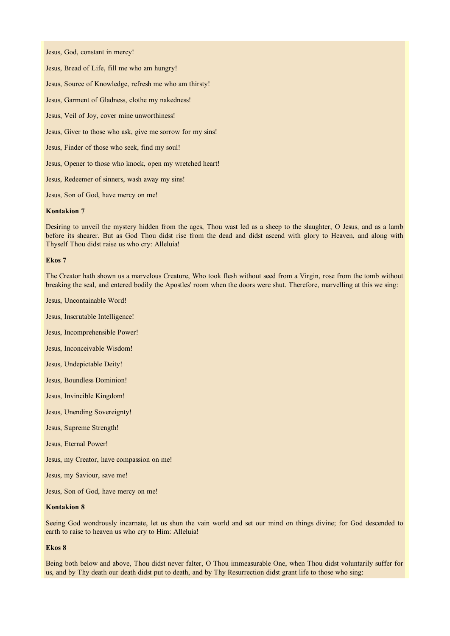Jesus, God, constant in mercy!

Jesus, Bread of Life, fill me who am hungry!

Jesus, Source of Knowledge, refresh me who am thirsty!

Jesus, Garment of Gladness, clothe my nakedness!

Jesus, Veil of Joy, cover mine unworthiness!

Jesus, Giver to those who ask, give me sorrow for my sins!

Jesus, Finder of those who seek, find my soul!

Jesus, Opener to those who knock, open my wretched heart!

Jesus, Redeemer of sinners, wash away my sins!

Jesus, Son of God, have mercy on me!

# **Kontakion 7**

Desiring to unveil the mystery hidden from the ages, Thou wast led as a sheep to the slaughter, O Jesus, and as a lamb before its shearer. But as God Thou didst rise from the dead and didst ascend with glory to Heaven, and along with Thyself Thou didst raise us who cry: Alleluia!

### **Ekos 7**

The Creator hath shown us a marvelous Creature, Who took flesh without seed from a Virgin, rose from the tomb without breaking the seal, and entered bodily the Apostles' room when the doors were shut. Therefore, marvelling at this we sing:

- Jesus, Uncontainable Word!
- Jesus, Inscrutable Intelligence!
- Jesus, Incomprehensible Power!
- Jesus, Inconceivable Wisdom!

Jesus, Undepictable Deity!

- Jesus, Boundless Dominion!
- Jesus, Invincible Kingdom!

Jesus, Unending Sovereignty!

Jesus, Supreme Strength!

Jesus, Eternal Power!

Jesus, my Creator, have compassion on me!

Jesus, my Saviour, save me!

Jesus, Son of God, have mercy on me!

# **Kontakion 8**

Seeing God wondrously incarnate, let us shun the vain world and set our mind on things divine; for God descended to earth to raise to heaven us who cry to Him: Alleluia!

# **Ekos 8**

Being both below and above, Thou didst never falter, O Thou immeasurable One, when Thou didst voluntarily suffer for us, and by Thy death our death didst put to death, and by Thy Resurrection didst grant life to those who sing: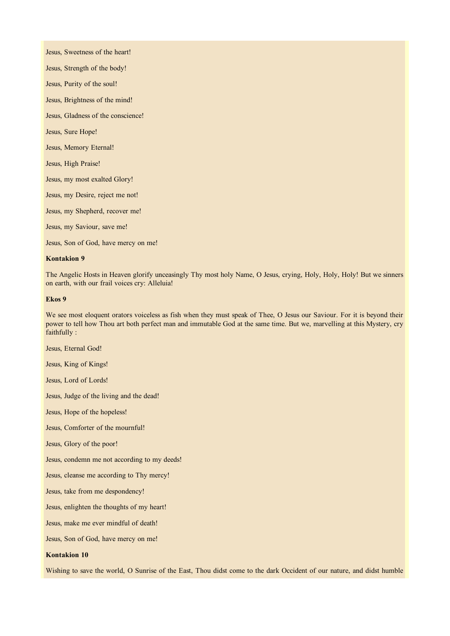Jesus, Sweetness of the heart! Jesus, Strength of the body! Jesus, Purity of the soul! Jesus, Brightness of the mind! Jesus, Gladness of the conscience! Jesus, Sure Hope! Jesus, Memory Eternal! Jesus, High Praise! Jesus, my most exalted Glory! Jesus, my Desire, reject me not! Jesus, my Shepherd, recover me! Jesus, my Saviour, save me! Jesus, Son of God, have mercy on me!

### **Kontakion 9**

The Angelic Hosts in Heaven glorify unceasingly Thy most holy Name, O Jesus, crying, Holy, Holy, Holy! But we sinners on earth, with our frail voices cry: Alleluia!

#### **Ekos 9**

We see most eloquent orators voiceless as fish when they must speak of Thee, O Jesus our Saviour. For it is beyond their power to tell how Thou art both perfect man and immutable God at the same time. But we, marvelling at this Mystery, cry faithfully :

Jesus, Eternal God! Jesus, King of Kings! Jesus, Lord of Lords! Jesus, Judge of the living and the dead! Jesus, Hope of the hopeless! Jesus, Comforter of the mournful! Jesus, Glory of the poor!

Jesus, condemn me not according to my deeds!

Jesus, cleanse me according to Thy mercy!

Jesus, take from me despondency!

Jesus, enlighten the thoughts of my heart!

Jesus, make me ever mindful of death!

Jesus, Son of God, have mercy on me!

#### **Kontakion 10**

Wishing to save the world, O Sunrise of the East, Thou didst come to the dark Occident of our nature, and didst humble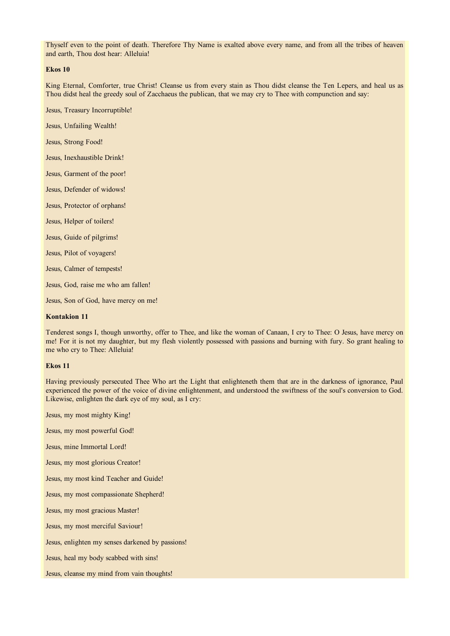Thyself even to the point of death. Therefore Thy Name is exalted above every name, and from all the tribes of heaven and earth, Thou dost hear: Alleluia!

### **Ekos 10**

King Eternal, Comforter, true Christ! Cleanse us from every stain as Thou didst cleanse the Ten Lepers, and heal us as Thou didst heal the greedy soul of Zacchaeus the publican, that we may cry to Thee with compunction and say:

Jesus, Treasury Incorruptible!

Jesus, Unfailing Wealth!

Jesus, Strong Food!

Jesus, Inexhaustible Drink!

Jesus, Garment of the poor!

Jesus, Defender of widows!

Jesus, Protector of orphans!

Jesus, Helper of toilers!

Jesus, Guide of pilgrims!

Jesus, Pilot of voyagers!

Jesus, Calmer of tempests!

Jesus, God, raise me who am fallen!

Jesus, Son of God, have mercy on me!

#### **Kontakion 11**

Tenderest songs I, though unworthy, offer to Thee, and like the woman of Canaan, I cry to Thee: O Jesus, have mercy on me! For it is not my daughter, but my flesh violently possessed with passions and burning with fury. So grant healing to me who cry to Thee: Alleluia!

# **Ekos 11**

Having previously persecuted Thee Who art the Light that enlighteneth them that are in the darkness of ignorance, Paul experienced the power of the voice of divine enlightenment, and understood the swiftness of the soul's conversion to God. Likewise, enlighten the dark eye of my soul, as I cry:

Jesus, my most mighty King!

Jesus, my most powerful God!

Jesus, mine Immortal Lord!

Jesus, my most glorious Creator!

Jesus, my most kind Teacher and Guide!

Jesus, my most compassionate Shepherd!

Jesus, my most gracious Master!

Jesus, my most merciful Saviour!

Jesus, enlighten my senses darkened by passions!

Jesus, heal my body scabbed with sins!

Jesus, cleanse my mind from vain thoughts!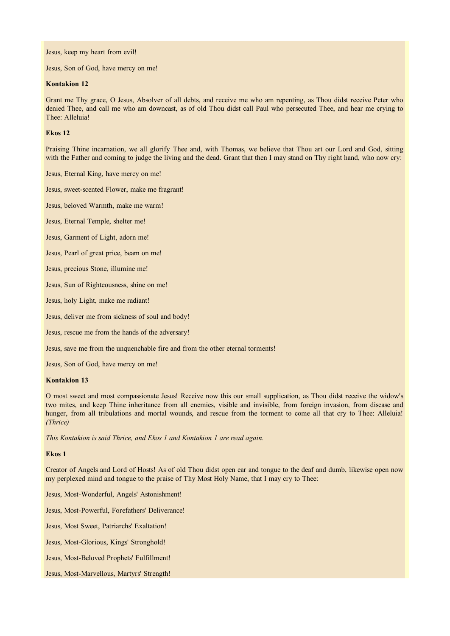Jesus, keep my heart from evil!

Jesus, Son of God, have mercy on me!

# **Kontakion 12**

Grant me Thy grace, O Jesus, Absolver of all debts, and receive me who am repenting, as Thou didst receive Peter who denied Thee, and call me who am downcast, as of old Thou didst call Paul who persecuted Thee, and hear me crying to Thee: Alleluia!

# **Ekos 12**

Praising Thine incarnation, we all glorify Thee and, with Thomas, we believe that Thou art our Lord and God, sitting with the Father and coming to judge the living and the dead. Grant that then I may stand on Thy right hand, who now cry:

Jesus, Eternal King, have mercy on me!

Jesus, sweet-scented Flower, make me fragrant!

Jesus, beloved Warmth, make me warm!

Jesus, Eternal Temple, shelter me!

Jesus, Garment of Light, adorn me!

Jesus, Pearl of great price, beam on me!

Jesus, precious Stone, illumine me!

Jesus, Sun of Righteousness, shine on me!

Jesus, holy Light, make me radiant!

Jesus, deliver me from sickness of soul and body!

Jesus, rescue me from the hands of the adversary!

Jesus, save me from the unquenchable fire and from the other eternal torments!

Jesus, Son of God, have mercy on me!

# **Kontakion 13**

O most sweet and most compassionate Jesus! Receive now this our small supplication, as Thou didst receive the widow's two mites, and keep Thine inheritance from all enemies, visible and invisible, from foreign invasion, from disease and hunger, from all tribulations and mortal wounds, and rescue from the torment to come all that cry to Thee: Alleluia! *(Thrice)*

*This Kontakion is said Thrice, and Ekos 1 and Kontakion 1 are read again.*

# **Ekos 1**

Creator of Angels and Lord of Hosts! As of old Thou didst open ear and tongue to the deaf and dumb, likewise open now my perplexed mind and tongue to the praise of Thy Most Holy Name, that I may cry to Thee:

Jesus, Most-Wonderful, Angels' Astonishment!

Jesus, Most-Powerful, Forefathers' Deliverance!

Jesus, Most Sweet, Patriarchs' Exaltation!

Jesus, Most-Glorious, Kings' Stronghold!

Jesus, Most-Beloved Prophets' Fulfillment!

Jesus, Most-Marvellous, Martyrs' Strength!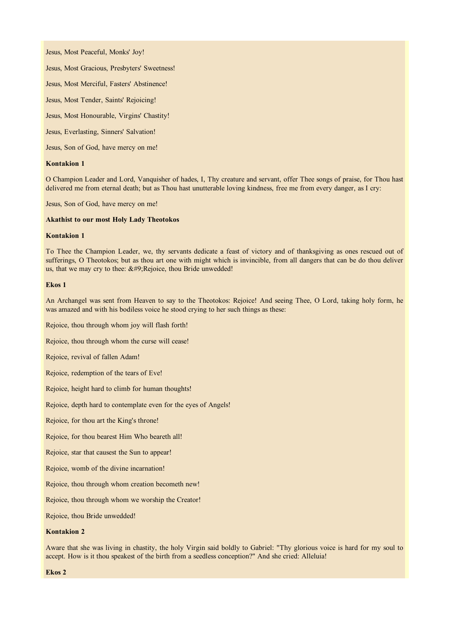Jesus, Most Peaceful, Monks' Joy!

Jesus, Most Gracious, Presbyters' Sweetness!

Jesus, Most Merciful, Fasters' Abstinence!

Jesus, Most Tender, Saints' Rejoicing!

Jesus, Most Honourable, Virgins' Chastity!

Jesus, Everlasting, Sinners' Salvation!

Jesus, Son of God, have mercy on me!

### **Kontakion 1**

O Champion Leader and Lord, Vanquisher of hades, I, Thy creature and servant, offer Thee songs of praise, for Thou hast delivered me from eternal death; but as Thou hast unutterable loving kindness, free me from every danger, as I cry:

Jesus, Son of God, have mercy on me!

### **Akathist to our most Holy Lady Theotokos**

# **Kontakion 1**

To Thee the Champion Leader, we, thy servants dedicate a feast of victory and of thanksgiving as ones rescued out of sufferings, O Theotokos; but as thou art one with might which is invincible, from all dangers that can be do thou deliver us, that we may cry to thee:  $&\#9$ ; Rejoice, thou Bride unwedded!

# **Ekos 1**

An Archangel was sent from Heaven to say to the Theotokos: Rejoice! And seeing Thee, O Lord, taking holy form, he was amazed and with his bodiless voice he stood crying to her such things as these:

Rejoice, thou through whom joy will flash forth!

Rejoice, thou through whom the curse will cease!

Rejoice, revival of fallen Adam!

Rejoice, redemption of the tears of Eve!

Rejoice, height hard to climb for human thoughts!

Rejoice, depth hard to contemplate even for the eyes of Angels!

Rejoice, for thou art the King's throne!

Rejoice, for thou bearest Him Who beareth all!

Rejoice, star that causest the Sun to appear!

Rejoice, womb of the divine incarnation!

Rejoice, thou through whom creation becometh new!

Rejoice, thou through whom we worship the Creator!

Rejoice, thou Bride unwedded!

# **Kontakion 2**

Aware that she was living in chastity, the holy Virgin said boldly to Gabriel: "Thy glorious voice is hard for my soul to accept. How is it thou speakest of the birth from a seedless conception?" And she cried: Alleluia!

### **Ekos 2**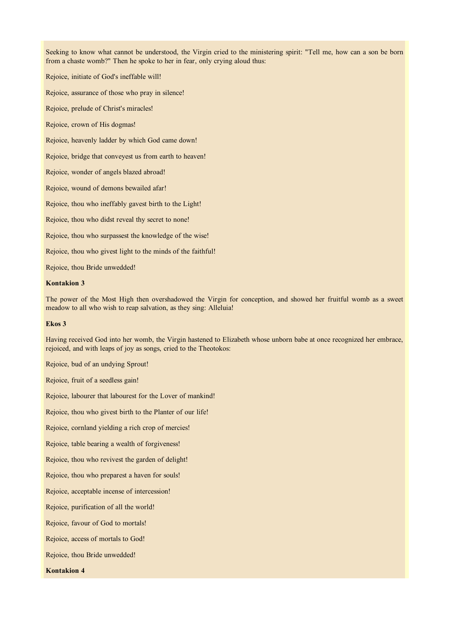Seeking to know what cannot be understood, the Virgin cried to the ministering spirit: "Tell me, how can a son be born from a chaste womb?" Then he spoke to her in fear, only crying aloud thus:

Rejoice, initiate of God's ineffable will!

Rejoice, assurance of those who pray in silence!

Rejoice, prelude of Christ's miracles!

Rejoice, crown of His dogmas!

Rejoice, heavenly ladder by which God came down!

Rejoice, bridge that conveyest us from earth to heaven!

Rejoice, wonder of angels blazed abroad!

Rejoice, wound of demons bewailed afar!

Rejoice, thou who ineffably gavest birth to the Light!

Rejoice, thou who didst reveal thy secret to none!

Rejoice, thou who surpassest the knowledge of the wise!

Rejoice, thou who givest light to the minds of the faithful!

Rejoice, thou Bride unwedded!

# **Kontakion 3**

The power of the Most High then overshadowed the Virgin for conception, and showed her fruitful womb as a sweet meadow to all who wish to reap salvation, as they sing: Alleluia!

#### **Ekos 3**

Having received God into her womb, the Virgin hastened to Elizabeth whose unborn babe at once recognized her embrace, rejoiced, and with leaps of joy as songs, cried to the Theotokos:

Rejoice, bud of an undying Sprout!

Rejoice, fruit of a seedless gain!

Rejoice, labourer that labourest for the Lover of mankind!

Rejoice, thou who givest birth to the Planter of our life!

Rejoice, cornland yielding a rich crop of mercies!

Rejoice, table bearing a wealth of forgiveness!

Rejoice, thou who revivest the garden of delight!

Rejoice, thou who preparest a haven for souls!

Rejoice, acceptable incense of intercession!

Rejoice, purification of all the world!

Rejoice, favour of God to mortals!

Rejoice, access of mortals to God!

Rejoice, thou Bride unwedded!

#### **Kontakion 4**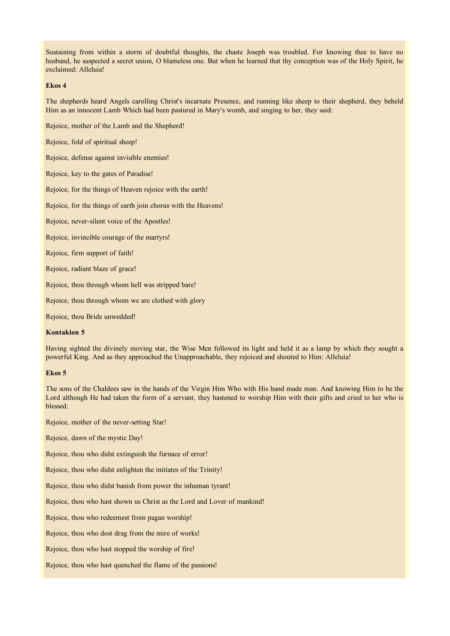Sustaining from within a storm of doubtful thoughts, the chaste Joseph was troubled. For knowing thee to have no husband, he suspected a secret union, O blameless one. But when he learned that thy conception was of the Holy Spirit, he exclaimed: Alleluia!

### **Ekos 4**

The shepherds heard Angels carolling Christ's incarnate Presence, and running like sheep to their shepherd, they beheld Him as an innocent Lamb Which had been pastured in Mary's womb, and singing to her, they said:

Rejoice, mother of the Lamb and the Shepherd!

Rejoice, fold of spiritual sheep!

Rejoice, defense against invisible enemies!

Rejoice, key to the gates of Paradise!

Rejoice, for the things of Heaven rejoice with the earth!

Rejoice, for the things of earth join chorus with the Heavens!

Rejoice, never-silent voice of the Apostles!

Rejoice, invincible courage of the martyrs!

Rejoice, firm support of faith!

Rejoice, radiant blaze of grace!

Rejoice, thou through whom hell was stripped bare!

Rejoice, thou through whom we are clothed with glory

Rejoice, thou Bride unwedded!

#### **Kontakion 5**

Having sighted the divinely moving star, the Wise Men followed its light and held it as a lamp by which they sought a powerful King. And as they approached the Unapproachable, they rejoiced and shouted to Him: Alleluia!

#### **Ekos 5**

The sons of the Chaldees saw in the hands of the Virgin Him Who with His hand made man. And knowing Him to be the Lord although He had taken the form of a servant, they hastened to worship Him with their gifts and cried to her who is blessed:

Rejoice, mother of the never-setting Star!

Rejoice, dawn of the mystic Day!

Rejoice, thou who didst extinguish the furnace of error!

Rejoice, thou who didst enlighten the initiates of the Trinity!

Rejoice, thou who didst banish from power the inhuman tyrant!

Rejoice, thou who hast shown us Christ as the Lord and Lover of mankind!

Rejoice, thou who redeemest from pagan worship!

Rejoice, thou who dost drag from the mire of works!

Rejoice, thou who hast stopped the worship of fire!

Rejoice, thou who hast quenched the flame of the passions!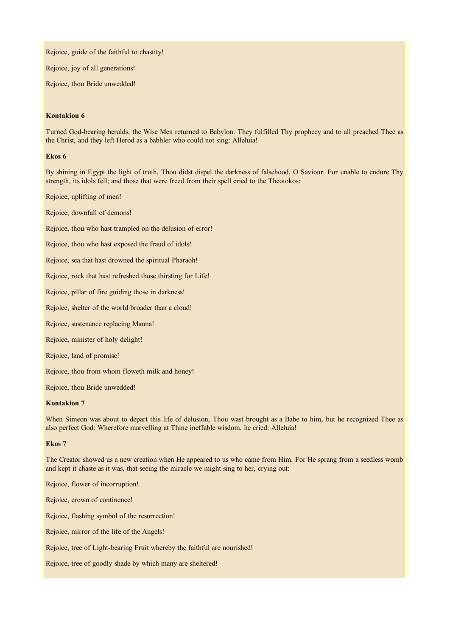Rejoice, guide of the faithful to chastity!

Rejoice, joy of all generations!

Rejoice, thou Bride unwedded!

# **Kontakion 6**

Turned God-bearing heralds, the Wise Men returned to Babylon. They fulfilled Thy prophecy and to all preached Thee as the Christ, and they left Herod as a babbler who could not sing: Alleluia!

# **Ekos 6**

By shining in Egypt the light of truth, Thou didst dispel the darkness of falsehood, O Saviour. For unable to endure Thy strength, its idols fell; and those that were freed from their spell cried to the Theotokos:

Rejoice, uplifting of men!

Rejoice, downfall of demons!

Rejoice, thou who hast trampled on the delusion of error!

Rejoice, thou who hast exposed the fraud of idols!

Rejoice, sea that hast drowned the spiritual Pharaoh!

Rejoice, rock that hast refreshed those thirsting for Life!

Rejoice, pillar of fire guiding those in darkness!

Rejoice, shelter of the world broader than a cloud!

Rejoice, sustenance replacing Manna!

Rejoice, minister of holy delight!

Rejoice, land of promise!

Rejoice, thou from whom floweth milk and honey!

Rejoice, thou Bride unwedded!

# **Kontakion 7**

When Simeon was about to depart this life of delusion, Thou wast brought as a Babe to him, but he recognized Thee as also perfect God: Wherefore marvelling at Thine ineffable wisdom, he cried: Alleluia!

# **Ekos 7**

The Creator showed us a new creation when He appeared to us who came from Him. For He sprang from a seedless womb and kept it chaste as it was, that seeing the miracle we might sing to her, crying out:

Rejoice, flower of incorruption!

Rejoice, crown of continence!

Rejoice, flashing symbol of the resurrection!

Rejoice, mirror of the life of the Angels!

Rejoice, tree of Light-bearing Fruit whereby the faithful are nourished!

Rejoice, tree of goodly shade by which many are sheltered!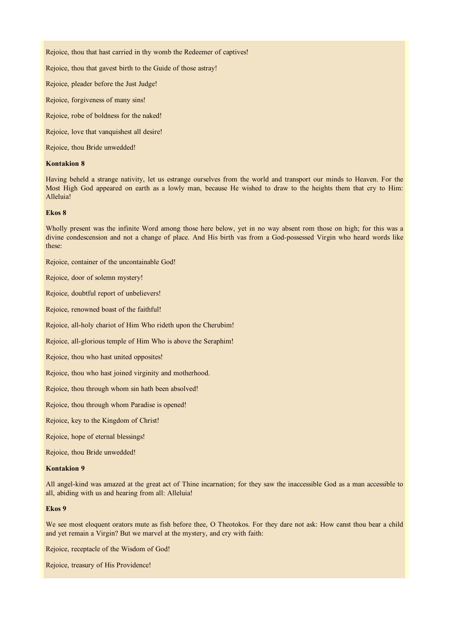Rejoice, thou that hast carried in thy womb the Redeemer of captives!

Rejoice, thou that gavest birth to the Guide of those astray!

Rejoice, pleader before the Just Judge!

Rejoice, forgiveness of many sins!

Rejoice, robe of boldness for the naked!

Rejoice, love that vanquishest all desire!

Rejoice, thou Bride unwedded!

### **Kontakion 8**

Having beheld a strange nativity, let us estrange ourselves from the world and transport our minds to Heaven. For the Most High God appeared on earth as a lowly man, because He wished to draw to the heights them that cry to Him: Alleluia!

# **Ekos 8**

Wholly present was the infinite Word among those here below, yet in no way absent rom those on high; for this was a divine condescension and not a change of place. And His birth vas from a God-possessed Virgin who heard words like these:

Rejoice, container of the uncontainable God!

Rejoice, door of solemn mystery!

Rejoice, doubtful report of unbelievers!

Rejoice, renowned boast of the faithful!

Rejoice, all-holy chariot of Him Who rideth upon the Cherubim!

Rejoice, all-glorious temple of Him Who is above the Seraphim!

Rejoice, thou who hast united opposites!

Rejoice, thou who hast joined virginity and motherhood.

Rejoice, thou through whom sin hath been absolved!

Rejoice, thou through whom Paradise is opened!

Rejoice, key to the Kingdom of Christ!

Rejoice, hope of eternal blessings!

Rejoice, thou Bride unwedded!

### **Kontakion 9**

All angel-kind was amazed at the great act of Thine incarnation; for they saw the inaccessible God as a man accessible to all, abiding with us and hearing from all: Alleluia!

# **Ekos 9**

We see most eloquent orators mute as fish before thee, O Theotokos. For they dare not ask: How canst thou bear a child and yet remain a Virgin? But we marvel at the mystery, and cry with faith:

Rejoice, receptacle of the Wisdom of God!

Rejoice, treasury of His Providence!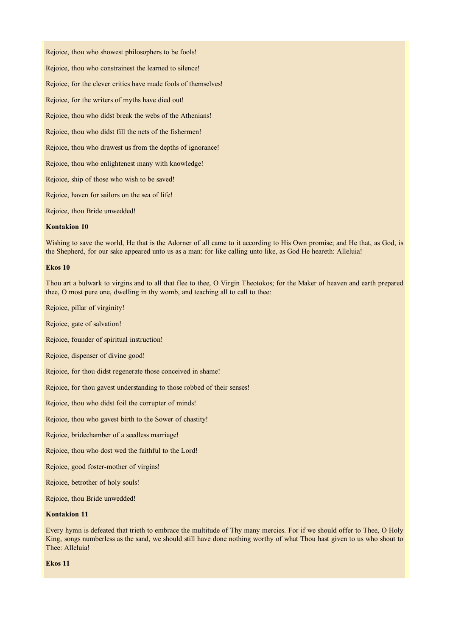Rejoice, thou who showest philosophers to be fools! Rejoice, thou who constrainest the learned to silence! Rejoice, for the clever critics have made fools of themselves! Rejoice, for the writers of myths have died out! Rejoice, thou who didst break the webs of the Athenians! Rejoice, thou who didst fill the nets of the fishermen! Rejoice, thou who drawest us from the depths of ignorance! Rejoice, thou who enlightenest many with knowledge! Rejoice, ship of those who wish to be saved! Rejoice, haven for sailors on the sea of life! Rejoice, thou Bride unwedded!

# **Kontakion 10**

Wishing to save the world, He that is the Adorner of all came to it according to His Own promise; and He that, as God, is the Shepherd, for our sake appeared unto us as a man: for like calling unto like, as God He heareth: Alleluia!

### **Ekos 10**

Thou art a bulwark to virgins and to all that flee to thee, O Virgin Theotokos; for the Maker of heaven and earth prepared thee, O most pure one, dwelling in thy womb, and teaching all to call to thee:

Rejoice, pillar of virginity!

Rejoice, gate of salvation!

Rejoice, founder of spiritual instruction!

Rejoice, dispenser of divine good!

Rejoice, for thou didst regenerate those conceived in shame!

Rejoice, for thou gavest understanding to those robbed of their senses!

Rejoice, thou who didst foil the corrupter of minds!

Rejoice, thou who gavest birth to the Sower of chastity!

Rejoice, bridechamber of a seedless marriage!

Rejoice, thou who dost wed the faithful to the Lord!

Rejoice, good foster-mother of virgins!

Rejoice, betrother of holy souls!

Rejoice, thou Bride unwedded!

# **Kontakion 11**

Every hymn is defeated that trieth to embrace the multitude of Thy many mercies. For if we should offer to Thee, O Holy King, songs numberless as the sand, we should still have done nothing worthy of what Thou hast given to us who shout to Thee: Alleluia!

**Ekos 11**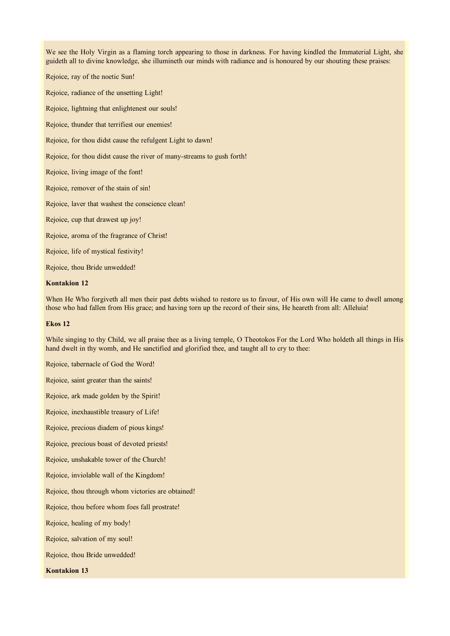We see the Holy Virgin as a flaming torch appearing to those in darkness. For having kindled the Immaterial Light, she guideth all to divine knowledge, she illumineth our minds with radiance and is honoured by our shouting these praises:

Rejoice, ray of the noetic Sun!

Rejoice, radiance of the unsetting Light!

Rejoice, lightning that enlightenest our souls!

Rejoice, thunder that terrifiest our enemies!

Rejoice, for thou didst cause the refulgent Light to dawn!

Rejoice, for thou didst cause the river of many-streams to gush forth!

Rejoice, living image of the font!

Rejoice, remover of the stain of sin!

Rejoice, laver that washest the conscience clean!

Rejoice, cup that drawest up joy!

Rejoice, aroma of the fragrance of Christ!

Rejoice, life of mystical festivity!

Rejoice, thou Bride unwedded!

# **Kontakion 12**

When He Who forgiveth all men their past debts wished to restore us to favour, of His own will He came to dwell among those who had fallen from His grace; and having torn up the record of their sins, He heareth from all: Alleluia!

#### **Ekos 12**

While singing to thy Child, we all praise thee as a living temple, O Theotokos For the Lord Who holdeth all things in His hand dwelt in thy womb, and He sanctified and glorified thee, and taught all to cry to thee:

Rejoice, tabernacle of God the Word!

Rejoice, saint greater than the saints!

Rejoice, ark made golden by the Spirit!

Rejoice, inexhaustible treasury of Life!

Rejoice, precious diadem of pious kings!

Rejoice, precious boast of devoted priests!

Rejoice, unshakable tower of the Church!

Rejoice, inviolable wall of the Kingdom!

Rejoice, thou through whom victories are obtained!

Rejoice, thou before whom foes fall prostrate!

Rejoice, healing of my body!

Rejoice, salvation of my soul!

Rejoice, thou Bride unwedded!

**Kontakion 13**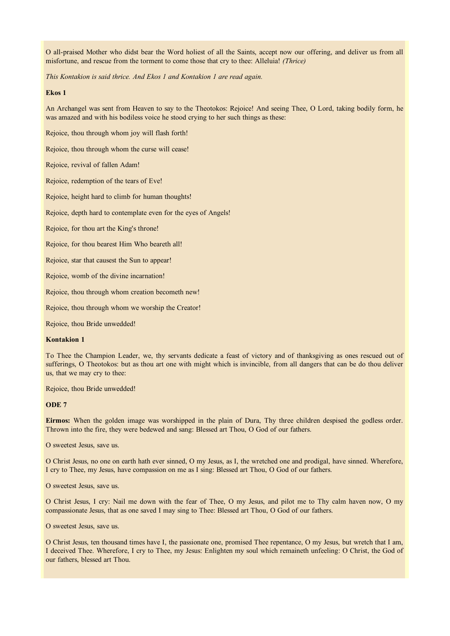O all-praised Mother who didst bear the Word holiest of all the Saints, accept now our offering, and deliver us from all misfortune, and rescue from the torment to come those that cry to thee: Alleluia! *(Thrice)*

*This Kontakion is said thrice. And Ekos 1 and Kontakion 1 are read again.*

# **Ekos 1**

An Archangel was sent from Heaven to say to the Theotokos: Rejoice! And seeing Thee, O Lord, taking bodily form, he was amazed and with his bodiless voice he stood crying to her such things as these:

Rejoice, thou through whom joy will flash forth!

Rejoice, thou through whom the curse will cease!

Rejoice, revival of fallen Adam!

Rejoice, redemption of the tears of Eve!

Rejoice, height hard to climb for human thoughts!

Rejoice, depth hard to contemplate even for the eyes of Angels!

Rejoice, for thou art the King's throne!

Rejoice, for thou bearest Him Who beareth all!

Rejoice, star that causest the Sun to appear!

Rejoice, womb of the divine incarnation!

Rejoice, thou through whom creation becometh new!

Rejoice, thou through whom we worship the Creator!

Rejoice, thou Bride unwedded!

# **Kontakion 1**

To Thee the Champion Leader, we, thy servants dedicate a feast of victory and of thanksgiving as ones rescued out of sufferings, O Theotokos: but as thou art one with might which is invincible, from all dangers that can be do thou deliver us, that we may cry to thee:

Rejoice, thou Bride unwedded!

# **ODE 7**

**Eirmos:** When the golden image was worshipped in the plain of Dura, Thy three children despised the godless order. Thrown into the fire, they were bedewed and sang: Blessed art Thou, O God of our fathers.

O sweetest Jesus, save us.

O Christ Jesus, no one on earth hath ever sinned, O my Jesus, as I, the wretched one and prodigal, have sinned. Wherefore, I cry to Thee, my Jesus, have compassion on me as I sing: Blessed art Thou, O God of our fathers.

O sweetest Jesus, save us.

O Christ Jesus, I cry: Nail me down with the fear of Thee, O my Jesus, and pilot me to Thy calm haven now, O my compassionate Jesus, that as one saved I may sing to Thee: Blessed art Thou, O God of our fathers.

O sweetest Jesus, save us.

O Christ Jesus, ten thousand times have I, the passionate one, promised Thee repentance, O my Jesus, but wretch that I am, I deceived Thee. Wherefore, I cry to Thee, my Jesus: Enlighten my soul which remaineth unfeeling: O Christ, the God of our fathers, blessed art Thou.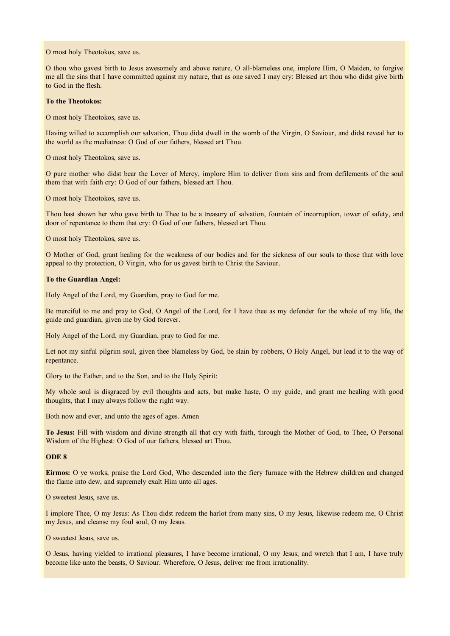O most holy Theotokos, save us.

O thou who gavest birth to Jesus awesomely and above nature, O all-blameless one, implore Him, O Maiden, to forgive me all the sins that I have committed against my nature, that as one saved I may cry: Blessed art thou who didst give birth to God in the flesh.

### **To the Theotokos:**

O most holy Theotokos, save us.

Having willed to accomplish our salvation, Thou didst dwell in the womb of the Virgin, O Saviour, and didst reveal her to the world as the mediatress: O God of our fathers, blessed art Thou.

O most holy Theotokos, save us.

O pure mother who didst bear the Lover of Mercy, implore Him to deliver from sins and from defilements of the soul them that with faith cry: O God of our fathers, blessed art Thou.

O most holy Theotokos, save us.

Thou hast shown her who gave birth to Thee to be a treasury of salvation, fountain of incorruption, tower of safety, and door of repentance to them that cry: O God of our fathers, blessed art Thou.

O most holy Theotokos, save us.

O Mother of God, grant healing for the weakness of our bodies and for the sickness of our souls to those that with love appeal to thy protection, O Virgin, who for us gavest birth to Christ the Saviour.

### **To the Guardian Angel:**

Holy Angel of the Lord, my Guardian, pray to God for me.

Be merciful to me and pray to God, O Angel of the Lord, for I have thee as my defender for the whole of my life, the guide and guardian, given me by God forever.

Holy Angel of the Lord, my Guardian, pray to God for me.

Let not my sinful pilgrim soul, given thee blameless by God, be slain by robbers, O Holy Angel, but lead it to the way of repentance.

Glory to the Father, and to the Son, and to the Holy Spirit:

My whole soul is disgraced by evil thoughts and acts, but make haste, O my guide, and grant me healing with good thoughts, that I may always follow the right way.

Both now and ever, and unto the ages of ages. Amen

**To Jesus:** Fill with wisdom and divine strength all that cry with faith, through the Mother of God, to Thee, O Personal Wisdom of the Highest: O God of our fathers, blessed art Thou.

# **ODE 8**

**Eirmos:** O ye works, praise the Lord God, Who descended into the fiery furnace with the Hebrew children and changed the flame into dew, and supremely exalt Him unto all ages.

O sweetest Jesus, save us.

I implore Thee, O my Jesus: As Thou didst redeem the harlot from many sins, O my Jesus, likewise redeem me, O Christ my Jesus, and cleanse my foul soul, O my Jesus.

O sweetest Jesus, save us.

O Jesus, having yielded to irrational pleasures, I have become irrational, O my Jesus; and wretch that I am, I have truly become like unto the beasts, O Saviour. Wherefore, O Jesus, deliver me from irrationality.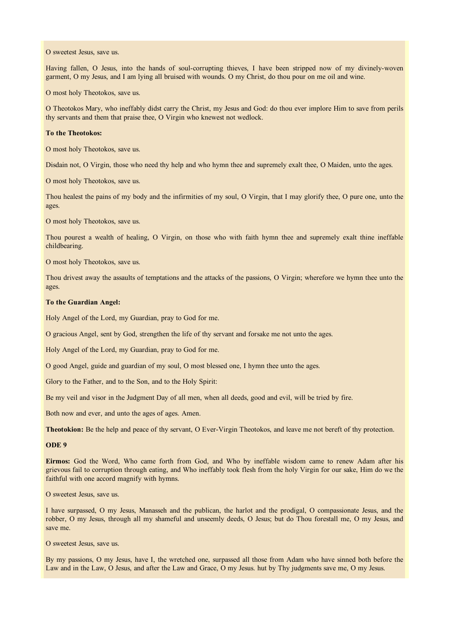O sweetest Jesus, save us.

Having fallen, O Jesus, into the hands of soul-corrupting thieves, I have been stripped now of my divinely-woven garment, O my Jesus, and I am lying all bruised with wounds. O my Christ, do thou pour on me oil and wine.

O most holy Theotokos, save us.

O Theotokos Mary, who ineffably didst carry the Christ, my Jesus and God: do thou ever implore Him to save from perils thy servants and them that praise thee, O Virgin who knewest not wedlock.

### **To the Theotokos:**

O most holy Theotokos, save us.

Disdain not, O Virgin, those who need thy help and who hymn thee and supremely exalt thee, O Maiden, unto the ages.

O most holy Theotokos, save us.

Thou healest the pains of my body and the infirmities of my soul, O Virgin, that I may glorify thee, O pure one, unto the ages.

O most holy Theotokos, save us.

Thou pourest a wealth of healing, O Virgin, on those who with faith hymn thee and supremely exalt thine ineffable childbearing.

O most holy Theotokos, save us.

Thou drivest away the assaults of temptations and the attacks of the passions, O Virgin; wherefore we hymn thee unto the ages.

#### **To the Guardian Angel:**

Holy Angel of the Lord, my Guardian, pray to God for me.

O gracious Angel, sent by God, strengthen the life of thy servant and forsake me not unto the ages.

Holy Angel of the Lord, my Guardian, pray to God for me.

O good Angel, guide and guardian of my soul, O most blessed one, I hymn thee unto the ages.

Glory to the Father, and to the Son, and to the Holy Spirit:

Be my veil and visor in the Judgment Day of all men, when all deeds, good and evil, will be tried by fire.

Both now and ever, and unto the ages of ages. Amen.

**Theotokion:** Be the help and peace of thy servant, O Ever-Virgin Theotokos, and leave me not bereft of thy protection.

#### **ODE 9**

**Eirmos:** God the Word, Who came forth from God, and Who by ineffable wisdom came to renew Adam after his grievous fail to corruption through eating, and Who ineffably took flesh from the holy Virgin for our sake, Him do we the faithful with one accord magnify with hymns.

O sweetest Jesus, save us.

I have surpassed, O my Jesus, Manasseh and the publican, the harlot and the prodigal, O compassionate Jesus, and the robber, O my Jesus, through all my shameful and unseemly deeds, O Jesus; but do Thou forestall me, O my Jesus, and save me.

O sweetest Jesus, save us.

By my passions, O my Jesus, have I, the wretched one, surpassed all those from Adam who have sinned both before the Law and in the Law, O Jesus, and after the Law and Grace, O my Jesus. hut by Thy judgments save me, O my Jesus.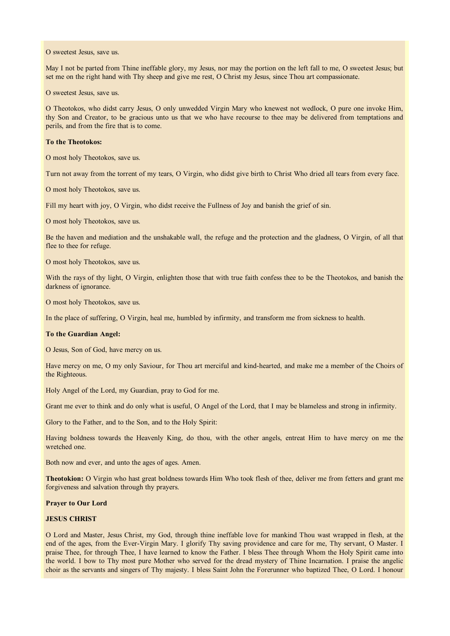O sweetest Jesus, save us.

May I not be parted from Thine ineffable glory, my Jesus, nor may the portion on the left fall to me, O sweetest Jesus; but set me on the right hand with Thy sheep and give me rest, O Christ my Jesus, since Thou art compassionate.

O sweetest Jesus, save us.

O Theotokos, who didst carry Jesus, O only unwedded Virgin Mary who knewest not wedlock, O pure one invoke Him, thy Son and Creator, to be gracious unto us that we who have recourse to thee may be delivered from temptations and perils, and from the fire that is to come.

### **To the Theotokos:**

O most holy Theotokos, save us.

Turn not away from the torrent of my tears, O Virgin, who didst give birth to Christ Who dried all tears from every face.

O most holy Theotokos, save us.

Fill my heart with joy, O Virgin, who didst receive the Fullness of Joy and banish the grief of sin.

O most holy Theotokos, save us.

Be the haven and mediation and the unshakable wall, the refuge and the protection and the gladness, O Virgin, of all that flee to thee for refuge.

O most holy Theotokos, save us.

With the rays of thy light, O Virgin, enlighten those that with true faith confess thee to be the Theotokos, and banish the darkness of ignorance.

O most holy Theotokos, save us.

In the place of suffering, O Virgin, heal me, humbled by infirmity, and transform me from sickness to health.

# **To the Guardian Angel:**

O Jesus, Son of God, have mercy on us.

Have mercy on me, O my only Saviour, for Thou art merciful and kind-hearted, and make me a member of the Choirs of the Righteous.

Holy Angel of the Lord, my Guardian, pray to God for me.

Grant me ever to think and do only what is useful, O Angel of the Lord, that I may be blameless and strong in infirmity.

Glory to the Father, and to the Son, and to the Holy Spirit:

Having boldness towards the Heavenly King, do thou, with the other angels, entreat Him to have mercy on me the wretched one.

Both now and ever, and unto the ages of ages. Amen.

**Theotokion:** O Virgin who hast great boldness towards Him Who took flesh of thee, deliver me from fetters and grant me forgiveness and salvation through thy prayers.

#### **Prayer to Our Lord**

### **JESUS CHRIST**

O Lord and Master, Jesus Christ, my God, through thine ineffable love for mankind Thou wast wrapped in flesh, at the end of the ages, from the Ever-Virgin Mary. I glorify Thy saving providence and care for me, Thy servant, O Master. I praise Thee, for through Thee, I have learned to know the Father. I bless Thee through Whom the Holy Spirit came into the world. I bow to Thy most pure Mother who served for the dread mystery of Thine Incarnation. I praise the angelic choir as the servants and singers of Thy majesty. I bless Saint John the Forerunner who baptized Thee, O Lord. I honour